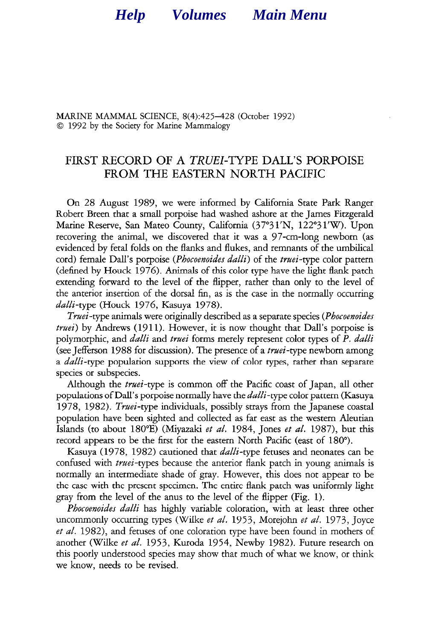<span id="page-0-0"></span>*Help [Volumes](#page-3-0) Main Menu*

MARINE MAMMAL SCIENCE, 8(4):425-428 (October 1992) 0 1992 by the Society for Marine Mammalogy

## **FIRST RECORD OF A TRUEI-TYPE DALL'S PORPOISE FROM THE EASTERN NORTH PACIFIC**

On 28 August 1989, we were informed by California State Park Ranger Robert Breen that a small porpoise had washed ashore at the James Fitzgerald Marine Reserve, San Mateo County, California (37°31'N, 122°31'W). Upon recovering the animal, we discovered that it was a 97-cm-long newborn (as evidenced by fetal folds on the flanks and flukes, and remnants of the umbilical cord) female Dall's porpoise *(Phocoenoides* dalli) of the truei-type color pattern (defined by Houck 1976). Animals of this color type have the light flank patch extending forward to the level of the flipper, rather than only to the level of the anterior insertion of the dorsal fin, as is the case in the normally occurring dalli-type (Houck 1976, Kasuya 1978).

Truei-type animals were originally described as a separate species *(Phocoenoides*  truei) by Andrews (1911). However, it is now thought that Dall's porpoise is polymorphic, and *dalli* and truei forms merely represent color types of *P.* dalli (see Jefferson 1988 for discussion). The presence of a truei-type newborn among a *dalli-type* population supports the view of color types, rather than separate species or subspecies.

Although the *truei*-type is common off the Pacific coast of Japan, all other populations of Dall's porpoise normally have the *dalli*-type color pattern (Kasuya 1978, 1982). Truei-type individuals, possibly strays from the Japanese coastal population have been sighted and collected as far east as the western Aleutian Islands (to about 180"E) (Miyazaki et al. 1984, Jones et al. 1987), but this record appears to be the first for the eastern North Pacific (east of 180').

Kasuya (1978, 1982) cautioned that *dalli*-type fetuses and neonates can be confused with *truei*-types because the anterior flank patch in young animals is normally an intermediate shade of gray. However, this does not appear to be the case with the present specimen. The entire flank patch was uniformly light gray from the level of the anus to the level of the flipper (Fig. 1).

*Phocoenoides dalli* has highly variable coloration, with at least three other uncommonly occurring types (Wilke et al. 1953, Morejohn et al. 1973, Joyce *et* al. 1982), and fetuses of one coloration type have been found in mothers of another (Wilke *et* al. 1953, Kuroda 1954, Newby 1982). Future research on this poorly understood species may show that much of what we know, or think we know, needs to be revised.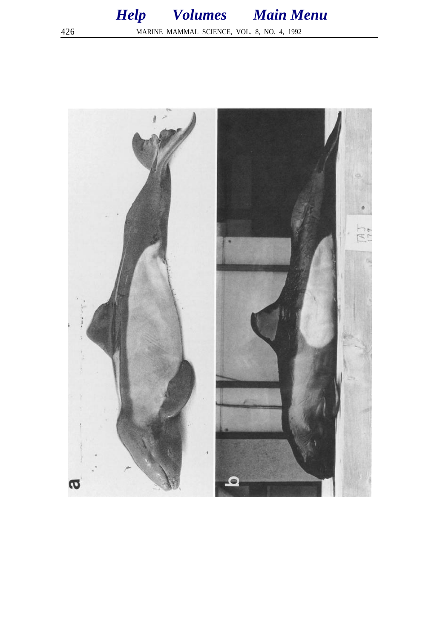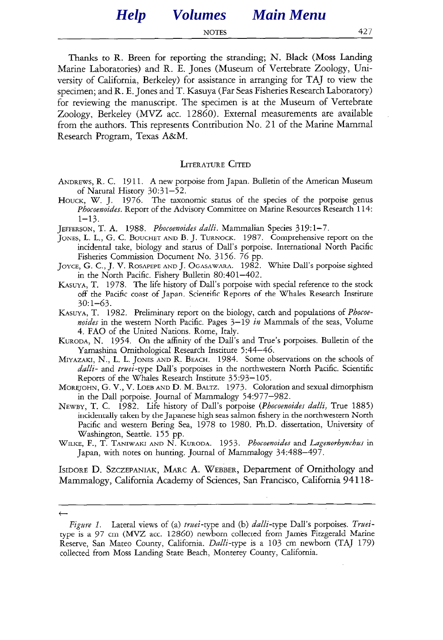Thanks to R. Breen for reporting the stranding; N. Black (Moss Landing Marine Laboratories) and R. E. Jones (Museum of Vertebrate Zoology, University of California, Berkeley) for assistance in arranging for TAJ to view the specimen; and R. E. Jones and T. Kasuya (Far Seas Fisheries Research Laboratory) for reviewing the manuscript. The specimen is at the Museum of Vertebrate Zoology, Berkeley (MVZ acc. 12860). External measurements are available from the authors. This represents Contribution No. 21 of the Marine Mammal Research Program, Texas A&M.

## **LITERATURE CITED**

- **ANDREWS,** R. C. 19 11. A new porpoise from Japan. Bulletin of the American Museum of Natural History 30:31-52.
- HOUCK, W. J. 1976. The taxonomic status of the species of the porpoise genus Phocoenoides. Report of the Advisory Committee on Marine Resources Research 114:  $1 - 13$ .
- **JEFFERSON,** T. A. 1988. Phocoenoides dalli. Mammalian Species 319:1-7.
- **JONES,** L. L., G. C. **BOUCHET AND** B. J. **TURNOCK.** 1987. Comprehensive report on the incidental take, biology and status of Dall's porpoise. International North Pacific Fisheries Commission Document No. 3 156. 76 pp.
- **JOYCE,** G. C., J. V. **ROSAPEPE AND** J. **OGASAWARA.** 1982. White Dall's porpoise sighted in the North Pacific. Fishery Bulletin 80:401-402.
- **KASUYA,** T. 1978. The life history of Dall's porpoise with special reference to the stock off the Pacific coast of Japan. Scientific Reports of the Whales Research Institute  $30:1 - 63$ .
- **KaSUYA,** T. 1982. Preliminary report on the biology, catch and populations of *Phocoe*noides in the western North Pacific. Pages  $3-19$  in Mammals of the seas, Volume 4. FAO of the United Nations. Rome, Italy.
- **KURODA,** N. 1954. On the affinity of the Dall's and True's porpoises. Bulletin of the Yamashina Ornithological Research Institute 5:44-46.
- **MIYAZAKI,** N., L. L. **JONES AND** R. **BEACH.** 1984. Some observations on the schools of *dalli-* and *truei-type* Dall's porpoises in the northwestern North Pacific. Scientific Reports of the Whales Research Institute 35:93-105.
- **MOREJOHN,** G. V., V. **LOEB AND** D. M. **BALTZ.** 1973. Coloration and sexual dimorphism in the Dall porpoise. Journal of Mammalogy 54:977-982.
- **NEWBY,** T. C. 1982. Life history of Dall's porpoise (Phocoenoides dalli, True 1885) incidentally taken by the Japanese high seas salmon fishery in the northwestern North Pacific and western Bering Sea, 1978 to 1980. Ph.D. dissertation, University of Washington, Seattle. 155 pp.
- **WILKE,** F., T. **TANIWAKI AND N. KURODA.** 1953. *Phocoenoides* and *Lagenorhynchus* in Japan, with notes on hunting. Journal of Mammalogy 34:488-497.

**ISIDORE** D. **SZCZEPANIAK, MARC** A. **WEBBER,** Department of Ornithology and Mammalogy, California Academy of Sciences, San Francisco, California 94118-

 $\leftarrow$ 

*Figure 1.* Lateral views of (a) truei-type and (b) dalli-type Dall's porpoises. *Truei*type is a 97 cm (MVZ acc. 12860) newborn collected from James Fitzgerald Marine Reserve, San Mateo County, California. Dalli-type is a 103 cm newborn (TAJ 179) collected from Moss Landing State Beach, Monterey County, California.